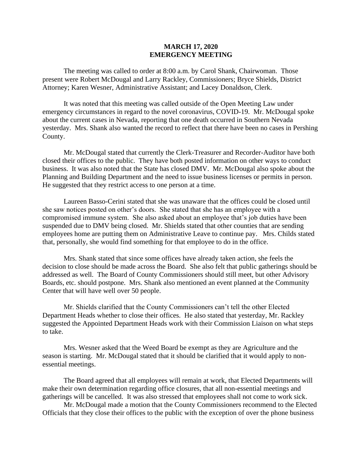## **MARCH 17, 2020 EMERGENCY MEETING**

The meeting was called to order at 8:00 a.m. by Carol Shank, Chairwoman. Those present were Robert McDougal and Larry Rackley, Commissioners; Bryce Shields, District Attorney; Karen Wesner, Administrative Assistant; and Lacey Donaldson, Clerk.

It was noted that this meeting was called outside of the Open Meeting Law under emergency circumstances in regard to the novel coronavirus, COVID-19. Mr. McDougal spoke about the current cases in Nevada, reporting that one death occurred in Southern Nevada yesterday. Mrs. Shank also wanted the record to reflect that there have been no cases in Pershing County.

Mr. McDougal stated that currently the Clerk-Treasurer and Recorder-Auditor have both closed their offices to the public. They have both posted information on other ways to conduct business. It was also noted that the State has closed DMV. Mr. McDougal also spoke about the Planning and Building Department and the need to issue business licenses or permits in person. He suggested that they restrict access to one person at a time.

Laureen Basso-Cerini stated that she was unaware that the offices could be closed until she saw notices posted on other's doors. She stated that she has an employee with a compromised immune system. She also asked about an employee that's job duties have been suspended due to DMV being closed. Mr. Shields stated that other counties that are sending employees home are putting them on Administrative Leave to continue pay. Mrs. Childs stated that, personally, she would find something for that employee to do in the office.

Mrs. Shank stated that since some offices have already taken action, she feels the decision to close should be made across the Board. She also felt that public gatherings should be addressed as well. The Board of County Commissioners should still meet, but other Advisory Boards, etc. should postpone. Mrs. Shank also mentioned an event planned at the Community Center that will have well over 50 people.

Mr. Shields clarified that the County Commissioners can't tell the other Elected Department Heads whether to close their offices. He also stated that yesterday, Mr. Rackley suggested the Appointed Department Heads work with their Commission Liaison on what steps to take.

Mrs. Wesner asked that the Weed Board be exempt as they are Agriculture and the season is starting. Mr. McDougal stated that it should be clarified that it would apply to nonessential meetings.

The Board agreed that all employees will remain at work, that Elected Departments will make their own determination regarding office closures, that all non-essential meetings and gatherings will be cancelled. It was also stressed that employees shall not come to work sick.

Mr. McDougal made a motion that the County Commissioners recommend to the Elected Officials that they close their offices to the public with the exception of over the phone business